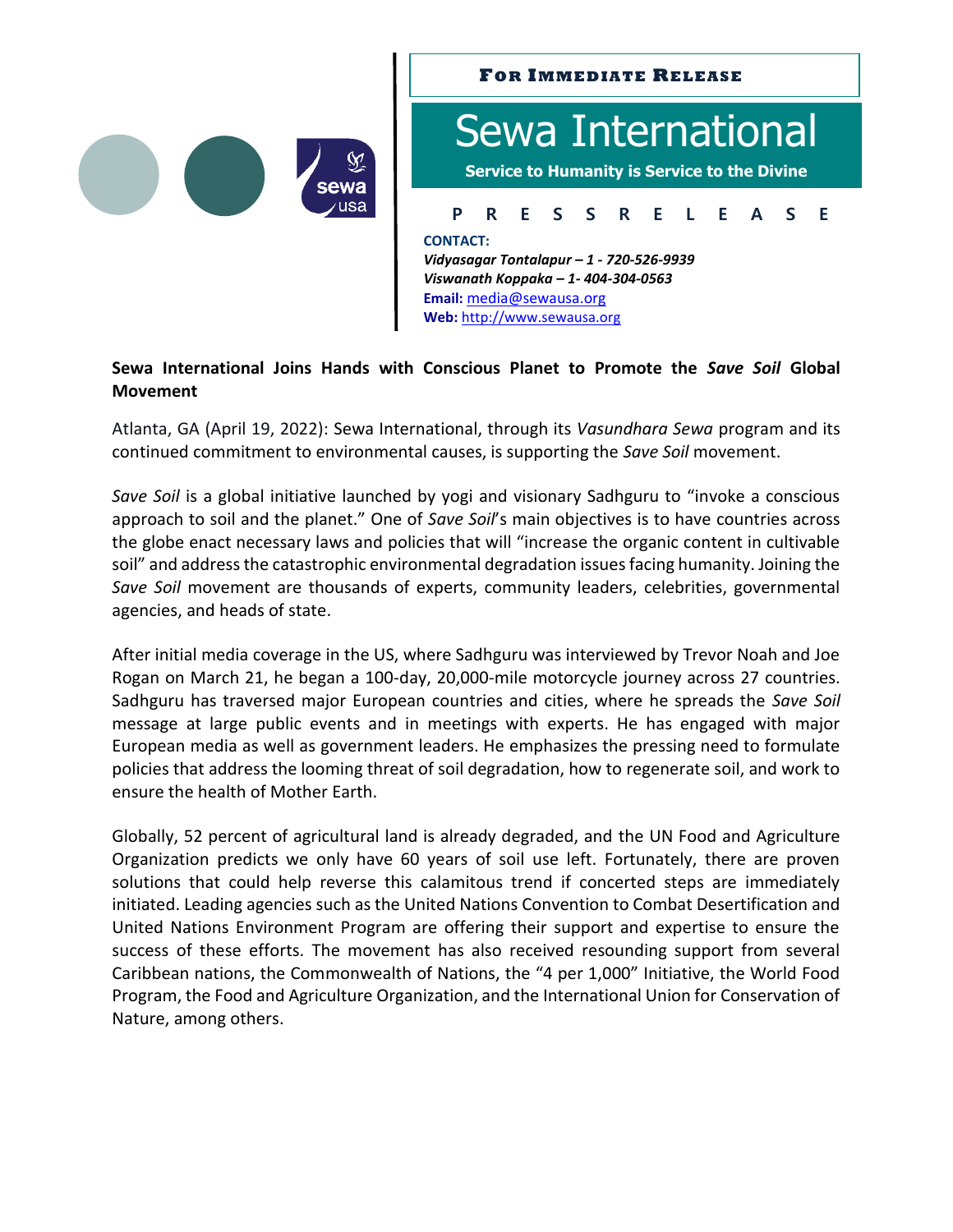



# **Sewa International Joins Hands with Conscious Planet to Promote the** *Save Soil* **Global Movement**

Atlanta, GA (April 19, 2022): Sewa International, through its *Vasundhara Sewa* program and its continued commitment to environmental causes, is supporting the *Save Soil* movement.

*Save Soil* is a global initiative launched by yogi and visionary Sadhguru to "invoke a conscious approach to soil and the planet." One of *Save Soil*'s main objectives is to have countries across the globe enact necessary laws and policies that will "increase the organic content in cultivable soil" and address the catastrophic environmental degradation issues facing humanity. Joining the *Save Soil* movement are thousands of experts, community leaders, celebrities, governmental agencies, and heads of state.

After initial media coverage in the US, where Sadhguru was interviewed by Trevor Noah and Joe Rogan on March 21, he began a 100-day, 20,000-mile motorcycle journey across 27 countries. Sadhguru has traversed major European countries and cities, where he spreads the *Save Soil* message at large public events and in meetings with experts. He has engaged with major European media as well as government leaders. He emphasizes the pressing need to formulate policies that address the looming threat of soil degradation, how to regenerate soil, and work to ensure the health of Mother Earth.

Globally, 52 percent of agricultural land is already degraded, and the UN Food and Agriculture Organization predicts we only have 60 years of soil use left. Fortunately, there are proven solutions that could help reverse this calamitous trend if concerted steps are immediately initiated. Leading agencies such as the United Nations Convention to Combat Desertification and United Nations Environment Program are offering their support and expertise to ensure the success of these efforts. The movement has also received resounding support from several Caribbean nations, the Commonwealth of Nations, the "4 per 1,000" Initiative, the World Food Program, the Food and Agriculture Organization, and the International Union for Conservation of Nature, among others.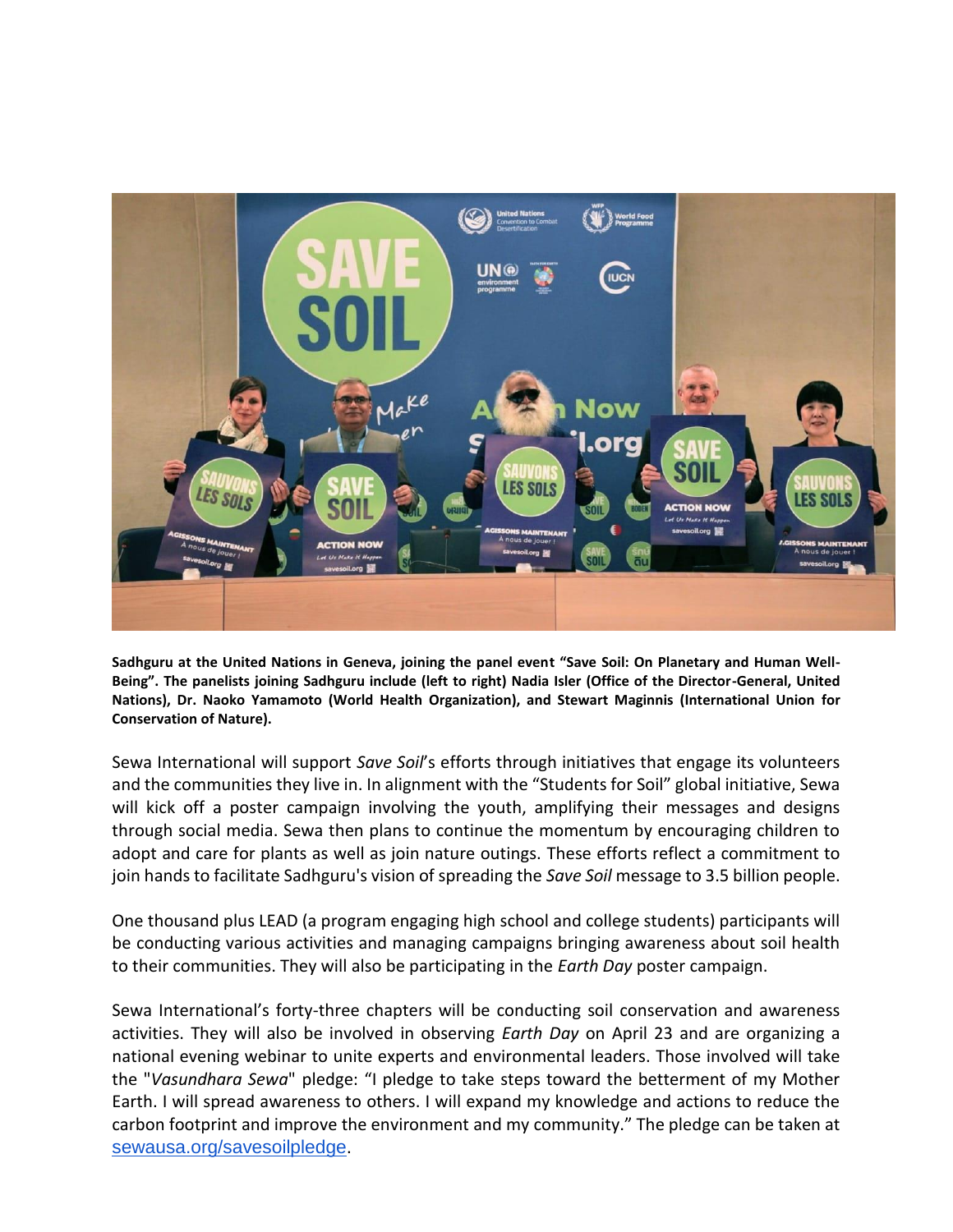

**Sadhguru at the United Nations in Geneva, joining the panel event "Save Soil: On Planetary and Human Well-Being". The panelists joining Sadhguru include (left to right) Nadia Isler (Office of the Director-General, United Nations), Dr. Naoko Yamamoto (World Health Organization), and Stewart Maginnis (International Union for Conservation of Nature).**

Sewa International will support *Save Soil*'s efforts through initiatives that engage its volunteers and the communities they live in. In alignment with the "Students for Soil" global initiative, Sewa will kick off a poster campaign involving the youth, amplifying their messages and designs through social media. Sewa then plans to continue the momentum by encouraging children to adopt and care for plants as well as join nature outings. These efforts reflect a commitment to join hands to facilitate Sadhguru's vision of spreading the *Save Soil* message to 3.5 billion people.

One thousand plus LEAD (a program engaging high school and college students) participants will be conducting various activities and managing campaigns bringing awareness about soil health to their communities. They will also be participating in the *Earth Day* poster campaign.

Sewa International's forty-three chapters will be conducting soil conservation and awareness activities. They will also be involved in observing *Earth Day* on April 23 and are organizing a national evening webinar to unite experts and environmental leaders. Those involved will take the "*Vasundhara Sewa*" pledge: "I pledge to take steps toward the betterment of my Mother Earth. I will spread awareness to others. I will expand my knowledge and actions to reduce the carbon footprint and improve the environment and my community." The pledge can be taken at [sewausa.org/savesoilpledge](https://sewausa.org/savesoilpledge).